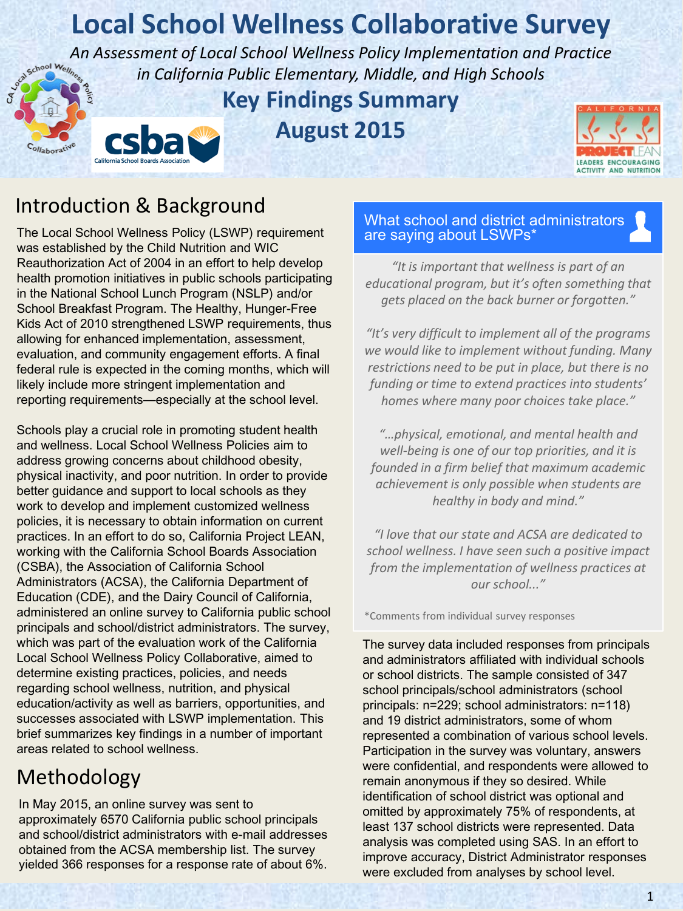# **Local School Wellness Collaborative Survey**

*An Assessment of Local School Wellness Policy Implementation and Practice*<br>in California Public Elementary, Middle, and High Schools<br>**1999** *in California Public Elementary, Middle, and High Schools*

**Key Findings Summary August 2015**



#### Introduction & Background

The Local School Wellness Policy (LSWP) requirement was established by the Child Nutrition and WIC Reauthorization Act of 2004 in an effort to help develop health promotion initiatives in public schools participating in the National School Lunch Program (NSLP) and/or School Breakfast Program. The Healthy, Hunger-Free Kids Act of 2010 strengthened LSWP requirements, thus allowing for enhanced implementation, assessment, evaluation, and community engagement efforts. A final federal rule is expected in the coming months, which will likely include more stringent implementation and reporting requirements—especially at the school level.

Schools play a crucial role in promoting student health and wellness. Local School Wellness Policies aim to address growing concerns about childhood obesity, physical inactivity, and poor nutrition. In order to provide better guidance and support to local schools as they work to develop and implement customized wellness policies, it is necessary to obtain information on current practices. In an effort to do so, California Project LEAN, working with the California School Boards Association (CSBA), the Association of California School Administrators (ACSA), the California Department of Education (CDE), and the Dairy Council of California, administered an online survey to California public school principals and school/district administrators. The survey, which was part of the evaluation work of the California Local School Wellness Policy Collaborative, aimed to determine existing practices, policies, and needs regarding school wellness, nutrition, and physical education/activity as well as barriers, opportunities, and successes associated with LSWP implementation. This brief summarizes key findings in a number of important areas related to school wellness.

#### Methodology

In May 2015, an online survey was sent to approximately 6570 California public school principals and school/district administrators with e-mail addresses obtained from the ACSA membership list. The survey yielded 366 responses for a response rate of about 6%.

#### What school and district administrators are saying about LSWPs\*

*"It is important that wellness is part of an educational program, but it's often something that gets placed on the back burner or forgotten."*

*"It's very difficult to implement all of the programs we would like to implement without funding. Many restrictions need to be put in place, but there is no funding or time to extend practices into students' homes where many poor choices take place."*

*"…physical, emotional, and mental health and well-being is one of our top priorities, and it is founded in a firm belief that maximum academic achievement is only possible when students are healthy in body and mind."*

*"I love that our state and ACSA are dedicated to school wellness. I have seen such a positive impact from the implementation of wellness practices at our school..."*

\*Comments from individual survey responses

The survey data included responses from principals and administrators affiliated with individual schools or school districts. The sample consisted of 347 school principals/school administrators (school principals: n=229; school administrators: n=118) and 19 district administrators, some of whom represented a combination of various school levels. Participation in the survey was voluntary, answers were confidential, and respondents were allowed to remain anonymous if they so desired. While identification of school district was optional and omitted by approximately 75% of respondents, at least 137 school districts were represented. Data analysis was completed using SAS. In an effort to improve accuracy, District Administrator responses were excluded from analyses by school level.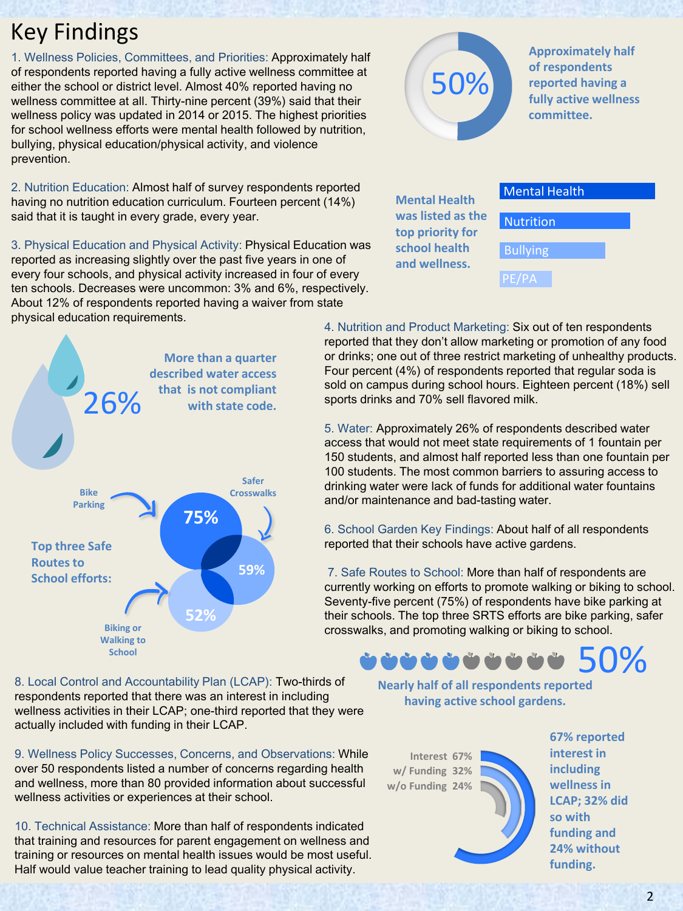## Key Findings

1. Wellness Policies, Committees, and Priorities: Approximately half of respondents reported having a fully active wellness committee at either the school or district level. Almost 40% reported having no wellness committee at all. Thirty-nine percent (39%) said that their wellness policy was updated in 2014 or 2015. The highest priorities for school wellness efforts were mental health followed by nutrition, bullying, physical education/physical activity, and violence prevention.

2. Nutrition Education: Almost half of survey respondents reported having no nutrition education curriculum. Fourteen percent (14%) said that it is taught in every grade, every year.

3. Physical Education and Physical Activity: Physical Education was reported as increasing slightly over the past five years in one of every four schools, and physical activity increased in four of every ten schools. Decreases were uncommon: 3% and 6%, respectively. About 12% of respondents reported having a waiver from state physical education requirements. 4. Nutrition and Product Marketing: Six out of ten respondents



8. Local Control and Accountability Plan (LCAP): Two-thirds of respondents reported that there was an interest in including wellness activities in their LCAP; one-third reported that they were actually included with funding in their LCAP.

9. Wellness Policy Successes, Concerns, and Observations: While over 50 respondents listed a number of concerns regarding health and wellness, more than 80 provided information about successful wellness activities or experiences at their school.

10. Technical Assistance: More than half of respondents indicated that training and resources for parent engagement on wellness and training or resources on mental health issues would be most useful. Half would value teacher training to lead quality physical activity.



reported that they don't allow marketing or promotion of any food or drinks; one out of three restrict marketing of unhealthy products. Four percent (4%) of respondents reported that regular soda is sold on campus during school hours. Eighteen percent (18%) sell sports drinks and 70% sell flavored milk.

5. Water: Approximately 26% of respondents described water access that would not meet state requirements of 1 fountain per 150 students, and almost half reported less than one fountain per 100 students. The most common barriers to assuring access to drinking water were lack of funds for additional water fountains and/or maintenance and bad-tasting water.

6. School Garden Key Findings: About half of all respondents reported that their schools have active gardens.

7. Safe Routes to School: More than half of respondents are currently working on efforts to promote walking or biking to school. Seventy-five percent (75%) of respondents have bike parking at their schools. The top three SRTS efforts are bike parking, safer crosswalks, and promoting walking or biking to school.

# 50%

**Nearly half of all respondents reported having active school gardens.**

**Interest 67% w/ Funding 32% w/o Funding 24%**



**67% reported interest in including wellness in LCAP; 32% did so with funding and 24% without funding.**